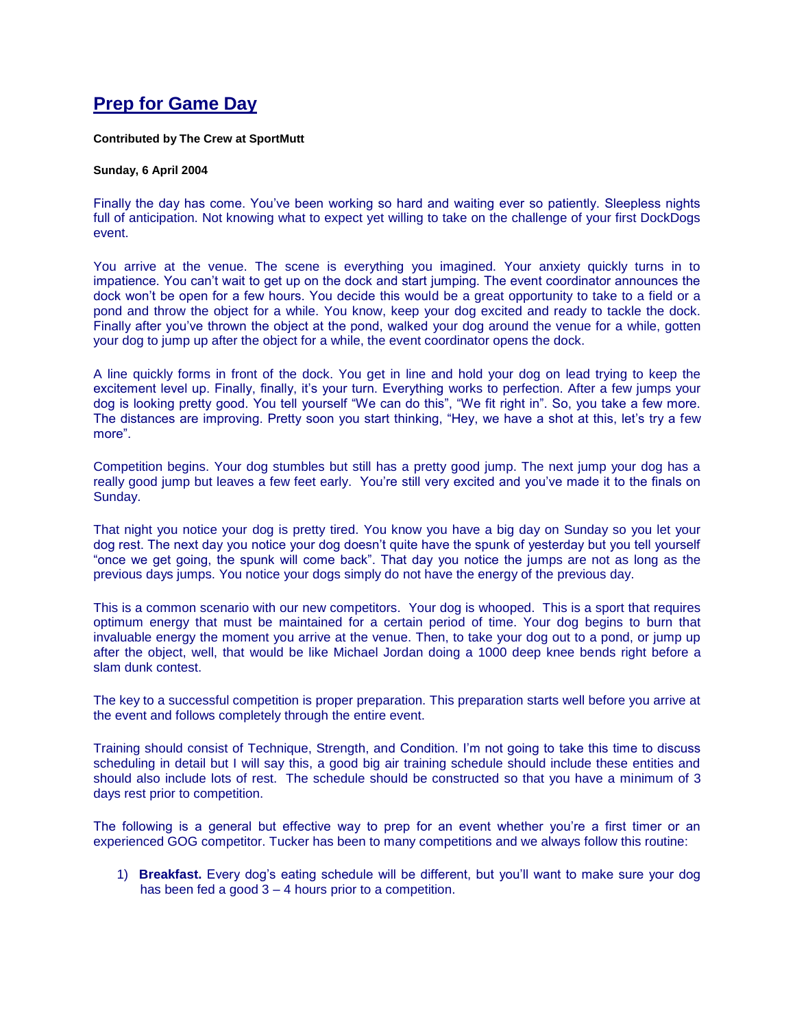## **Prep for Game Day**

## **Contributed by The Crew at SportMutt**

## **Sunday, 6 April 2004**

Finally the day has come. You've been working so hard and waiting ever so patiently. Sleepless nights full of anticipation. Not knowing what to expect yet willing to take on the challenge of your first DockDogs event.

You arrive at the venue. The scene is everything you imagined. Your anxiety quickly turns in to impatience. You can't wait to get up on the dock and start jumping. The event coordinator announces the dock won't be open for a few hours. You decide this would be a great opportunity to take to a field or a pond and throw the object for a while. You know, keep your dog excited and ready to tackle the dock. Finally after you've thrown the object at the pond, walked your dog around the venue for a while, gotten your dog to jump up after the object for a while, the event coordinator opens the dock.

A line quickly forms in front of the dock. You get in line and hold your dog on lead trying to keep the excitement level up. Finally, finally, it's your turn. Everything works to perfection. After a few jumps your dog is looking pretty good. You tell yourself "We can do this", "We fit right in". So, you take a few more. The distances are improving. Pretty soon you start thinking, "Hey, we have a shot at this, let's try a few more".

Competition begins. Your dog stumbles but still has a pretty good jump. The next jump your dog has a really good jump but leaves a few feet early. You're still very excited and you've made it to the finals on Sunday.

That night you notice your dog is pretty tired. You know you have a big day on Sunday so you let your dog rest. The next day you notice your dog doesn't quite have the spunk of yesterday but you tell yourself "once we get going, the spunk will come back". That day you notice the jumps are not as long as the previous days jumps. You notice your dogs simply do not have the energy of the previous day.

This is a common scenario with our new competitors. Your dog is whooped. This is a sport that requires optimum energy that must be maintained for a certain period of time. Your dog begins to burn that invaluable energy the moment you arrive at the venue. Then, to take your dog out to a pond, or jump up after the object, well, that would be like Michael Jordan doing a 1000 deep knee bends right before a slam dunk contest.

The key to a successful competition is proper preparation. This preparation starts well before you arrive at the event and follows completely through the entire event.

Training should consist of Technique, Strength, and Condition. I'm not going to take this time to discuss scheduling in detail but I will say this, a good big air training schedule should include these entities and should also include lots of rest. The schedule should be constructed so that you have a minimum of 3 days rest prior to competition.

The following is a general but effective way to prep for an event whether you're a first timer or an experienced GOG competitor. Tucker has been to many competitions and we always follow this routine:

1) **Breakfast.** Every dog's eating schedule will be different, but you'll want to make sure your dog has been fed a good 3 – 4 hours prior to a competition.